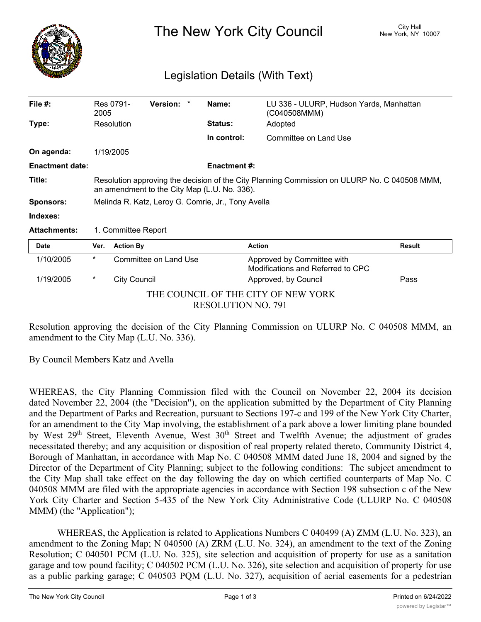

The New York City Council New York, NY 10007

## Legislation Details (With Text)

| File $#$ :                                                       | 2005                                                                                                                                         | Res 0791-             | Version: * |  | Name:               | LU 336 - ULURP, Hudson Yards, Manhattan<br>(C040508MMM)         |               |
|------------------------------------------------------------------|----------------------------------------------------------------------------------------------------------------------------------------------|-----------------------|------------|--|---------------------|-----------------------------------------------------------------|---------------|
| Type:                                                            |                                                                                                                                              | Resolution            |            |  | <b>Status:</b>      | Adopted                                                         |               |
|                                                                  |                                                                                                                                              |                       |            |  | In control:         | Committee on Land Use                                           |               |
| On agenda:                                                       |                                                                                                                                              | 1/19/2005             |            |  |                     |                                                                 |               |
| <b>Enactment date:</b>                                           |                                                                                                                                              |                       |            |  | <b>Enactment #:</b> |                                                                 |               |
| Title:                                                           | Resolution approving the decision of the City Planning Commission on ULURP No. C 040508 MMM,<br>an amendment to the City Map (L.U. No. 336). |                       |            |  |                     |                                                                 |               |
| <b>Sponsors:</b>                                                 | Melinda R. Katz, Leroy G. Comrie, Jr., Tony Avella                                                                                           |                       |            |  |                     |                                                                 |               |
| Indexes:                                                         |                                                                                                                                              |                       |            |  |                     |                                                                 |               |
| <b>Attachments:</b>                                              | 1. Committee Report                                                                                                                          |                       |            |  |                     |                                                                 |               |
| <b>Date</b>                                                      | Ver.                                                                                                                                         | <b>Action By</b>      |            |  |                     | <b>Action</b>                                                   | <b>Result</b> |
| 1/10/2005                                                        | $\ast$                                                                                                                                       | Committee on Land Use |            |  |                     | Approved by Committee with<br>Modifications and Referred to CPC |               |
| 1/19/2005                                                        | $^\star$                                                                                                                                     | <b>City Council</b>   |            |  |                     | Approved, by Council                                            | Pass          |
| THE COUNCIL OF THE CITY OF NEW YORK<br><b>RESOLUTION NO. 791</b> |                                                                                                                                              |                       |            |  |                     |                                                                 |               |

Resolution approving the decision of the City Planning Commission on ULURP No. C 040508 MMM, an amendment to the City Map (L.U. No. 336).

By Council Members Katz and Avella

WHEREAS, the City Planning Commission filed with the Council on November 22, 2004 its decision dated November 22, 2004 (the "Decision"), on the application submitted by the Department of City Planning and the Department of Parks and Recreation, pursuant to Sections 197-c and 199 of the New York City Charter, for an amendment to the City Map involving, the establishment of a park above a lower limiting plane bounded by West 29<sup>th</sup> Street, Eleventh Avenue, West 30<sup>th</sup> Street and Twelfth Avenue; the adjustment of grades necessitated thereby; and any acquisition or disposition of real property related thereto, Community District 4, Borough of Manhattan, in accordance with Map No. C 040508 MMM dated June 18, 2004 and signed by the Director of the Department of City Planning; subject to the following conditions: The subject amendment to the City Map shall take effect on the day following the day on which certified counterparts of Map No. C 040508 MMM are filed with the appropriate agencies in accordance with Section 198 subsection c of the New York City Charter and Section 5-435 of the New York City Administrative Code (ULURP No. C 040508 MMM) (the "Application");

WHEREAS, the Application is related to Applications Numbers C 040499 (A) ZMM (L.U. No. 323), an amendment to the Zoning Map; N 040500 (A) ZRM (L.U. No. 324), an amendment to the text of the Zoning Resolution; C 040501 PCM (L.U. No. 325), site selection and acquisition of property for use as a sanitation garage and tow pound facility; C 040502 PCM (L.U. No. 326), site selection and acquisition of property for use as a public parking garage; C 040503 PQM (L.U. No. 327), acquisition of aerial easements for a pedestrian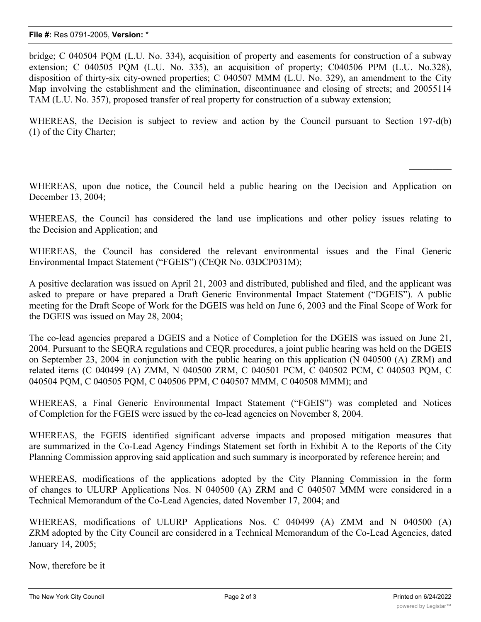bridge; C 040504 PQM (L.U. No. 334), acquisition of property and easements for construction of a subway extension; C 040505 PQM (L.U. No. 335), an acquisition of property; C040506 PPM (L.U. No.328), disposition of thirty-six city-owned properties; C 040507 MMM (L.U. No. 329), an amendment to the City Map involving the establishment and the elimination, discontinuance and closing of streets; and 20055114 TAM (L.U. No. 357), proposed transfer of real property for construction of a subway extension;

WHEREAS, the Decision is subject to review and action by the Council pursuant to Section 197-d(b) (1) of the City Charter;

WHEREAS, upon due notice, the Council held a public hearing on the Decision and Application on December 13, 2004;

WHEREAS, the Council has considered the land use implications and other policy issues relating to the Decision and Application; and

WHEREAS, the Council has considered the relevant environmental issues and the Final Generic Environmental Impact Statement ("FGEIS") (CEQR No. 03DCP031M);

A positive declaration was issued on April 21, 2003 and distributed, published and filed, and the applicant was asked to prepare or have prepared a Draft Generic Environmental Impact Statement ("DGEIS"). A public meeting for the Draft Scope of Work for the DGEIS was held on June 6, 2003 and the Final Scope of Work for the DGEIS was issued on May 28, 2004;

The co-lead agencies prepared a DGEIS and a Notice of Completion for the DGEIS was issued on June 21, 2004. Pursuant to the SEQRA regulations and CEQR procedures, a joint public hearing was held on the DGEIS on September 23, 2004 in conjunction with the public hearing on this application (N 040500 (A) ZRM) and related items (C 040499 (A) ZMM, N 040500 ZRM, C 040501 PCM, C 040502 PCM, C 040503 PQM, C 040504 PQM, C 040505 PQM, C 040506 PPM, C 040507 MMM, C 040508 MMM); and

WHEREAS, a Final Generic Environmental Impact Statement ("FGEIS") was completed and Notices of Completion for the FGEIS were issued by the co-lead agencies on November 8, 2004.

WHEREAS, the FGEIS identified significant adverse impacts and proposed mitigation measures that are summarized in the Co-Lead Agency Findings Statement set forth in Exhibit A to the Reports of the City Planning Commission approving said application and such summary is incorporated by reference herein; and

WHEREAS, modifications of the applications adopted by the City Planning Commission in the form of changes to ULURP Applications Nos. N 040500 (A) ZRM and C 040507 MMM were considered in a Technical Memorandum of the Co-Lead Agencies, dated November 17, 2004; and

WHEREAS, modifications of ULURP Applications Nos. C 040499 (A) ZMM and N 040500 (A) ZRM adopted by the City Council are considered in a Technical Memorandum of the Co-Lead Agencies, dated January 14, 2005;

Now, therefore be it